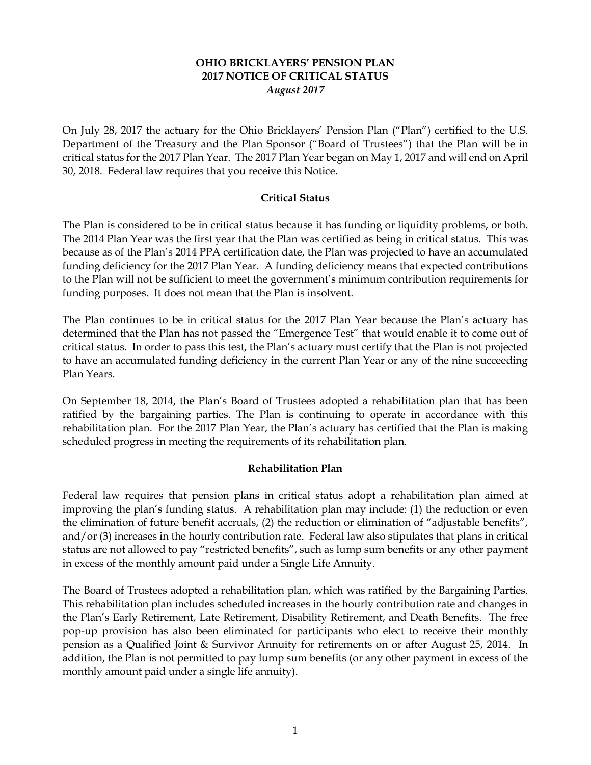# **OHIO BRICKLAYERS' PENSION PLAN 2017 NOTICE OF CRITICAL STATUS** *August 2017*

On July 28, 2017 the actuary for the Ohio Bricklayers' Pension Plan ("Plan") certified to the U.S. Department of the Treasury and the Plan Sponsor ("Board of Trustees") that the Plan will be in critical status for the 2017 Plan Year. The 2017 Plan Year began on May 1, 2017 and will end on April 30, 2018. Federal law requires that you receive this Notice.

# **Critical Status**

The Plan is considered to be in critical status because it has funding or liquidity problems, or both. The 2014 Plan Year was the first year that the Plan was certified as being in critical status. This was because as of the Plan's 2014 PPA certification date, the Plan was projected to have an accumulated funding deficiency for the 2017 Plan Year. A funding deficiency means that expected contributions to the Plan will not be sufficient to meet the government's minimum contribution requirements for funding purposes. It does not mean that the Plan is insolvent.

The Plan continues to be in critical status for the 2017 Plan Year because the Plan's actuary has determined that the Plan has not passed the "Emergence Test" that would enable it to come out of critical status. In order to pass this test, the Plan's actuary must certify that the Plan is not projected to have an accumulated funding deficiency in the current Plan Year or any of the nine succeeding Plan Years.

On September 18, 2014, the Plan's Board of Trustees adopted a rehabilitation plan that has been ratified by the bargaining parties. The Plan is continuing to operate in accordance with this rehabilitation plan. For the 2017 Plan Year, the Plan's actuary has certified that the Plan is making scheduled progress in meeting the requirements of its rehabilitation plan.

# **Rehabilitation Plan**

Federal law requires that pension plans in critical status adopt a rehabilitation plan aimed at improving the plan's funding status. A rehabilitation plan may include: (1) the reduction or even the elimination of future benefit accruals, (2) the reduction or elimination of "adjustable benefits", and/or (3) increases in the hourly contribution rate. Federal law also stipulates that plans in critical status are not allowed to pay "restricted benefits", such as lump sum benefits or any other payment in excess of the monthly amount paid under a Single Life Annuity.

The Board of Trustees adopted a rehabilitation plan, which was ratified by the Bargaining Parties. This rehabilitation plan includes scheduled increases in the hourly contribution rate and changes in the Plan's Early Retirement, Late Retirement, Disability Retirement, and Death Benefits. The free pop-up provision has also been eliminated for participants who elect to receive their monthly pension as a Qualified Joint & Survivor Annuity for retirements on or after August 25, 2014. In addition, the Plan is not permitted to pay lump sum benefits (or any other payment in excess of the monthly amount paid under a single life annuity).